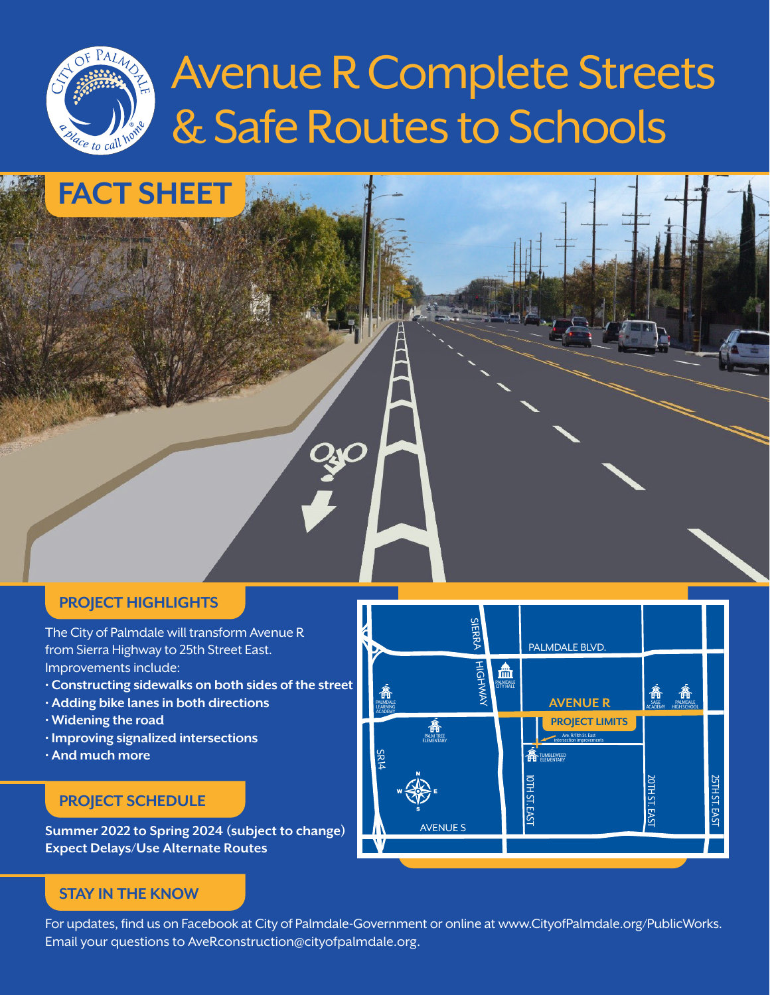

ŊΟ

### **PROJECT HIGHLIGHTS**

**FACT SHEET**

The City of Palmdale will transform Avenue R from Sierra Highway to 25th Street East. Improvements include:

- **Constructing sidewalks on both sides of the street**
- **Adding bike lanes in both directions**
- **Widening the road**
- **Improving signalized intersections**
- **And much more**

### **PROJECT SCHEDULE**

**Summer 2022 to Spring 2024 (subject to change) Expect Delays/Use Alternate Routes**

### **STAY IN THE KNOW**

For updates, find us on Facebook at City of Palmdale-Government or online at www.CityofPalmdale.org/PublicWorks. Email your questions to AveRconstruction@cityofpalmdale.org.